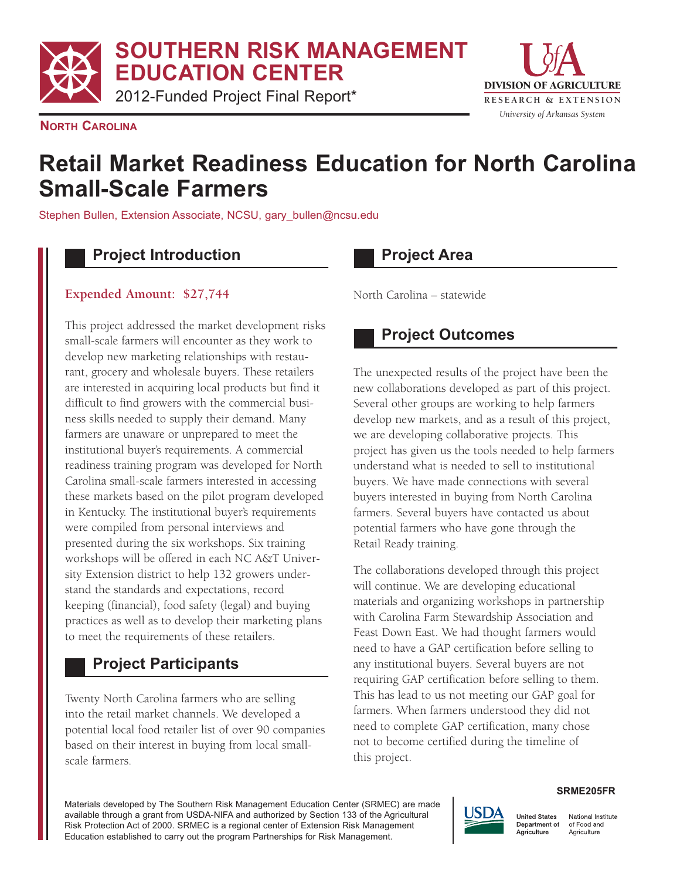**SOUTHERN RISK MANAGEMENT EDUCATION CENTER** 

2012-Funded Project Final Report\*



**NORTH CAROLINA** 

# **Retail Market Readiness Education for North Carolina Small-Scale Farmers**

Stephen Bullen, Extension Associate, NCSU, gary\_bullen@ncsu.edu

#### **Project Introduction**

#### **Expended Amount: \$27,744**

This project addressed the market development risks small-scale farmers will encounter as they work to develop new marketing relationships with restaurant, grocery and wholesale buyers. These retailers are interested in acquiring local products but find it difficult to find growers with the commercial business skills needed to supply their demand. Many farmers are unaware or unprepared to meet the institutional buyer's requirements. A commercial readiness training program was developed for North Carolina small-scale farmers interested in accessing these markets based on the pilot program developed in Kentucky. The institutional buyer's requirements were compiled from personal interviews and presented during the six workshops. Six training workshops will be offered in each NC A&T University Extension district to help 132 growers understand the standards and expectations, record keeping (financial), food safety (legal) and buying practices as well as to develop their marketing plans to meet the requirements of these retailers.

### **Project Participants**

Twenty North Carolina farmers who are selling into the retail market channels. We developed a potential local food retailer list of over 90 companies based on their interest in buying from local smallscale farmers.

#### **Project Area**

North Carolina – statewide

### **Project Outcomes**

The unexpected results of the project have been the new collaborations developed as part of this project. Several other groups are working to help farmers develop new markets, and as a result of this project, we are developing collaborative projects. This project has given us the tools needed to help farmers understand what is needed to sell to institutional buyers. We have made connections with several buyers interested in buying from North Carolina farmers. Several buyers have contacted us about potential farmers who have gone through the Retail Ready training.

The collaborations developed through this project will continue. We are developing educational materials and organizing workshops in partnership with Carolina Farm Stewardship Association and Feast Down East. We had thought farmers would need to have a GAP certification before selling to any institutional buyers. Several buyers are not requiring GAP certification before selling to them. This has lead to us not meeting our GAP goal for farmers. When farmers understood they did not need to complete GAP certification, many chose not to become certified during the timeline of this project.

Materials developed by The Southern Risk Management Education Center (SRMEC) are made available through a grant from USDA-NIFA and authorized by Section 133 of the Agricultural Risk Protection Act of 2000. SRMEC is a regional center of Extension Risk Management Education established to carry out the program Partnerships for Risk Management.



## **SRME205FR**

National Institute Department of of Food and Agriculture